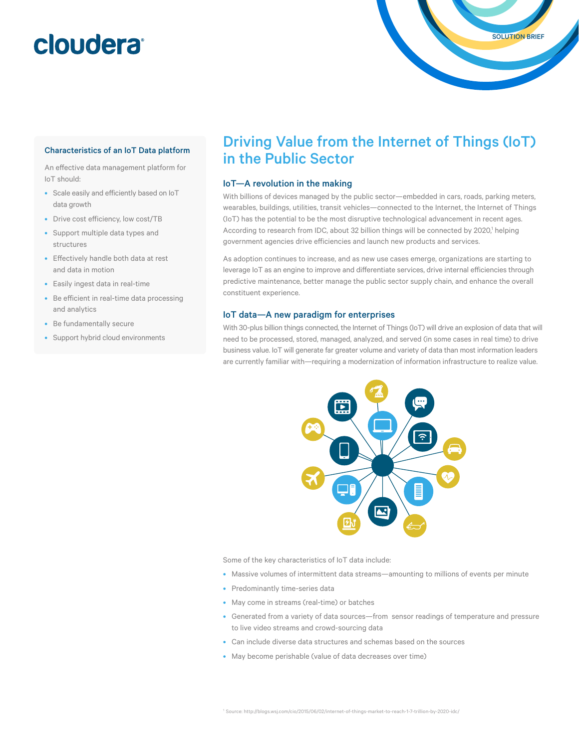### **cloudera**

#### Characteristics of an IoT Data platform

An efective data management platform for IoT should:

- Scale easily and eficiently based on IoT data growth
- Drive cost eficiency, low cost/TB
- Support multiple data types and structures
- Efectively handle both data at rest and data in motion
- Easily ingest data in real-time
- Be eficient in real-time data processing and analytics
- Be fundamentally secure
- Support hybrid cloud environments

### Driving Value from the Internet of Things (IoT) in the Public Sector

SOLUTION BRIEF

#### IoT—A revolution in the making

With billions of devices managed by the public sector—embedded in cars, roads, parking meters, wearables, buildings, utilities, transit vehicles—connected to the Internet, the Internet of Things (IoT) has the potential to be the most disruptive technological advancement in recent ages. According to research from IDC, about 32 billion things will be connected by 2020,<sup>1</sup> helping government agencies drive eficiencies and launch new products and services.

As adoption continues to increase, and as new use cases emerge, organizations are starting to leverage IoT as an engine to improve and diferentiate services, drive internal eficiencies through predictive maintenance, better manage the public sector supply chain, and enhance the overall constituent experience.

#### IoT data—A new paradigm for enterprises

With 30-plus billion things connected, the Internet of Things (IoT) will drive an explosion of data that will need to be processed, stored, managed, analyzed, and served (in some cases in real time) to drive business value. IoT will generate far greater volume and variety of data than most information leaders are currently familiar with—requiring a modernization of information infrastructure to realize value.



Some of the key characteristics of IoT data include:

- Massive volumes of intermittent data streams—amounting to millions of events per minute
- Predominantly time-series data
- May come in streams (real-time) or batches
- Generated from a variety of data sources—from sensor readings of temperature and pressure to live video streams and crowd-sourcing data
- Can include diverse data structures and schemas based on the sources
- May become perishable (value of data decreases over time)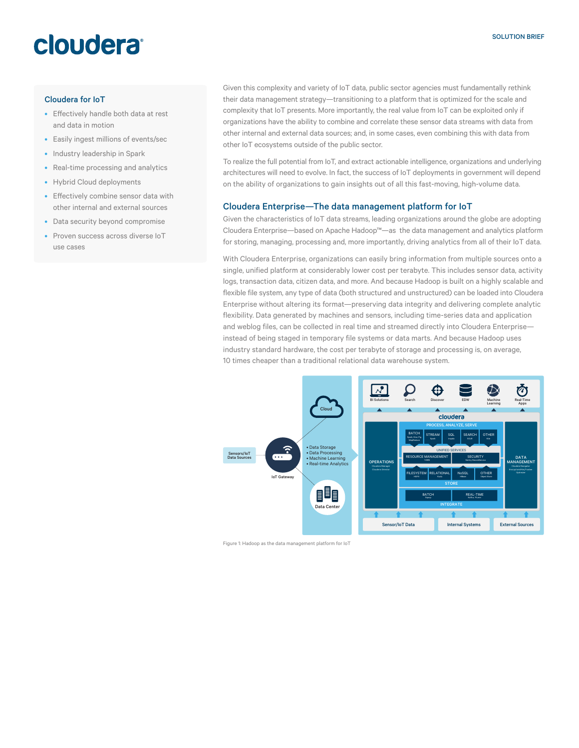## cloudera®

#### Cloudera for IoT

- Efectively handle both data at rest and data in motion
- Easily ingest millions of events/sec
- Industry leadership in Spark
- Real-time processing and analytics
- Hybrid Cloud deployments
- Efectively combine sensor data with other internal and external sources
- Data security beyond compromise
- Proven success across diverse IoT use cases

Given this complexity and variety of IoT data, public sector agencies must fundamentally rethink their data management strategy—transitioning to a platform that is optimized for the scale and complexity that IoT presents. More importantly, the real value from IoT can be exploited only if organizations have the ability to combine and correlate these sensor data streams with data from other internal and external data sources; and, in some cases, even combining this with data from other IoT ecosystems outside of the public sector.

To realize the full potential from IoT, and extract actionable intelligence, organizations and underlying architectures will need to evolve. In fact, the success of IoT deployments in government will depend on the ability of organizations to gain insights out of all this fast-moving, high-volume data.

#### Cloudera Enterprise—The data management platform for IoT

Given the characteristics of IoT data streams, leading organizations around the globe are adopting Cloudera Enterprise—based on Apache Hadoop™—as the data management and analytics platform for storing, managing, processing and, more importantly, driving analytics from all of their IoT data.

With Cloudera Enterprise, organizations can easily bring information from multiple sources onto a single, unified platform at considerably lower cost per terabyte. This includes sensor data, activity logs, transaction data, citizen data, and more. And because Hadoop is built on a highly scalable and flexible file system, any type of data (both structured and unstructured) can be loaded into Cloudera Enterprise without altering its format—preserving data integrity and delivering complete analytic flexibility. Data generated by machines and sensors, including time-series data and application and weblog files, can be collected in real time and streamed directly into Cloudera Enterprise instead of being staged in temporary file systems or data marts. And because Hadoop uses industry standard hardware, the cost per terabyte of storage and processing is, on average, 10 times cheaper than a traditional relational data warehouse system.



Figure 1: Hadoop as the data management platform for IoT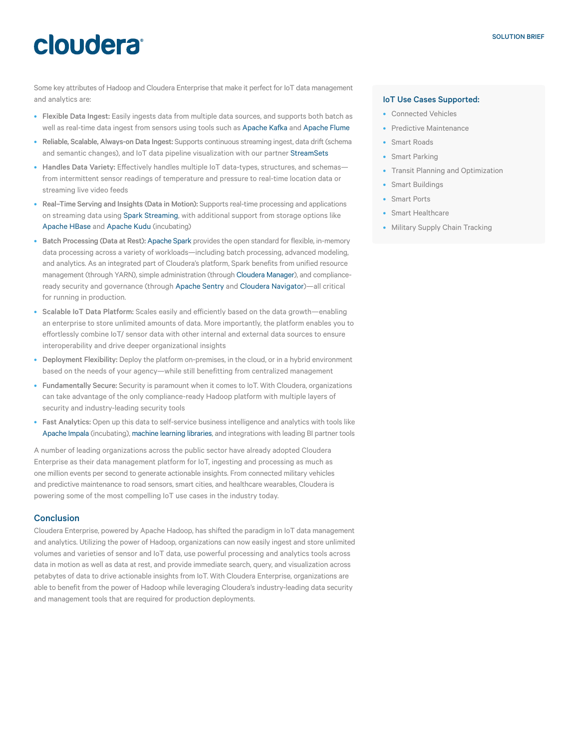# cloudera

Some key attributes of Hadoop and Cloudera Enterprise that make it perfect for IoT data management and analytics are:

- Flexible Data Ingest: Easily ingests data from multiple data sources, and supports both batch as well as real-time data ingest from sensors using tools such as Apache Kafka and Apache Flume
- Reliable, Scalable, Always-on Data Ingest: Supports continuous streaming ingest, data drift (schema and semantic changes), and IoT data pipeline visualization with our partner StreamSets
- Handles Data Variety: Effectively handles multiple IoT data-types, structures, and schemasfrom intermittent sensor readings of temperature and pressure to real-time location data or streaming live video feeds
- Real–Time Serving and Insights (Data in Motion): Supports real-time processing and applications on streaming data using Spark Streaming, with additional support from storage options like Apache HBase and Apache Kudu (incubating)
- Batch Processing (Data at Rest): Apache Spark provides the open standard for flexible, in-memory data processing across a variety of workloads—including batch processing, advanced modeling, and analytics. As an integrated part of Cloudera's platform, Spark benefits from unified resource management (through YARN), simple administration (through Cloudera Manager), and complianceready security and governance (through Apache Sentry and Cloudera Navigator)—all critical for running in production.
- Scalable IoT Data Platform: Scales easily and eficiently based on the data growth—enabling an enterprise to store unlimited amounts of data. More importantly, the platform enables you to efortlessly combine IoT/ sensor data with other internal and external data sources to ensure interoperability and drive deeper organizational insights
- Deployment Flexibility: Deploy the platform on-premises, in the cloud, or in a hybrid environment based on the needs of your agency—while still benefitting from centralized management
- Fundamentally Secure: Security is paramount when it comes to IoT. With Cloudera, organizations can take advantage of the only compliance-ready Hadoop platform with multiple layers of security and industry-leading security tools
- Fast Analytics: Open up this data to self-service business intelligence and analytics with tools like Apache Impala (incubating), machine learning libraries, and integrations with leading BI partner tools

A number of leading organizations across the public sector have already adopted Cloudera Enterprise as their data management platform for IoT, ingesting and processing as much as one million events per second to generate actionable insights. From connected military vehicles and predictive maintenance to road sensors, smart cities, and healthcare wearables, Cloudera is powering some of the most compelling IoT use cases in the industry today.

#### **Conclusion**

Cloudera Enterprise, powered by Apache Hadoop, has shifted the paradigm in IoT data management and analytics. Utilizing the power of Hadoop, organizations can now easily ingest and store unlimited volumes and varieties of sensor and IoT data, use powerful processing and analytics tools across data in motion as well as data at rest, and provide immediate search, query, and visualization across petabytes of data to drive actionable insights from IoT. With Cloudera Enterprise, organizations are able to benefit from the power of Hadoop while leveraging Cloudera's industry-leading data security and management tools that are required for production deployments.

#### IoT Use Cases Supported:

- Connected Vehicles
- Predictive Maintenance
- Smart Roads
- Smart Parking
- Transit Planning and Optimization
- Smart Buildings
- Smart Ports
- Smart Healthcare
- Military Supply Chain Tracking